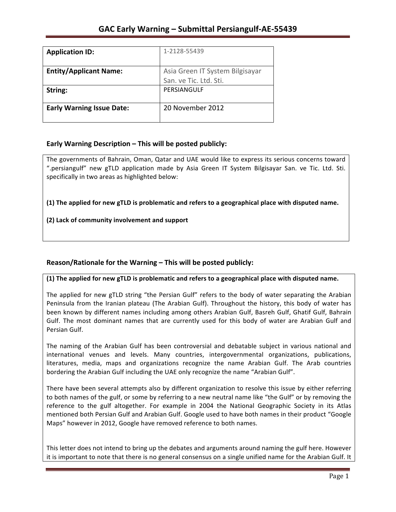| <b>Application ID:</b>           | 1-2128-55439                    |
|----------------------------------|---------------------------------|
|                                  |                                 |
| <b>Entity/Applicant Name:</b>    | Asia Green IT System Bilgisayar |
|                                  | San. ve Tic. Ltd. Sti.          |
| String:                          | PERSIANGULF                     |
|                                  |                                 |
| <b>Early Warning Issue Date:</b> | 20 November 2012                |
|                                  |                                 |

## **Early Warning Description – This will be posted publicly:**

The governments of Bahrain, Oman, Qatar and UAE would like to express its serious concerns toward ".persiangulf" new gTLD application made by Asia Green IT System Bilgisayar San. ve Tic. Ltd. Sti. specifically in two areas as highlighted below:

**(1)** The applied for new gTLD is problematic and refers to a geographical place with disputed name.

## **(2) Lack of community involvement and support**

## **Reason/Rationale for the Warning – This will be posted publicly:**

### **(1)** The applied for new gTLD is problematic and refers to a geographical place with disputed name.

The applied for new gTLD string "the Persian Gulf" refers to the body of water separating the Arabian Peninsula from the Iranian plateau (The Arabian Gulf). Throughout the history, this body of water has been known by different names including among others Arabian Gulf, Basreh Gulf, Ghatif Gulf, Bahrain Gulf. The most dominant names that are currently used for this body of water are Arabian Gulf and Persian Gulf.

The naming of the Arabian Gulf has been controversial and debatable subject in various national and international venues and levels. Many countries, intergovernmental organizations, publications, literatures, media, maps and organizations recognize the name Arabian Gulf. The Arab countries bordering the Arabian Gulf including the UAE only recognize the name "Arabian Gulf".

There have been several attempts also by different organization to resolve this issue by either referring to both names of the gulf, or some by referring to a new neutral name like "the Gulf" or by removing the reference to the gulf altogether. For example in 2004 the National Geographic Society in its Atlas mentioned both Persian Gulf and Arabian Gulf. Google used to have both names in their product "Google Maps" however in 2012, Google have removed reference to both names.

This letter does not intend to bring up the debates and arguments around naming the gulf here. However it is important to note that there is no general consensus on a single unified name for the Arabian Gulf. It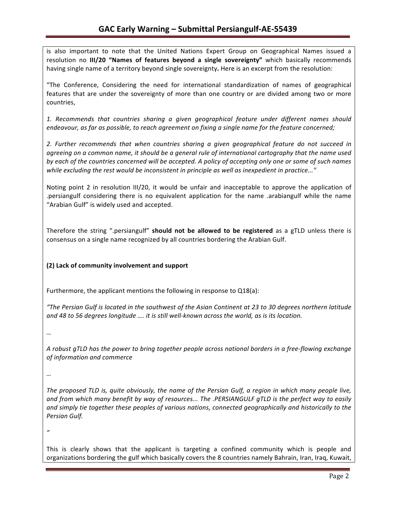is also important to note that the United Nations Expert Group on Geographical Names issued a resolution no III/20 "Names of features beyond a single sovereignty" which basically recommends having single name of a territory beyond single sovereignty. Here is an excerpt from the resolution:

"The Conference, Considering the need for international standardization of names of geographical features that are under the sovereignty of more than one country or are divided among two or more countries,

1. Recommends that countries sharing a given geographical feature under different names should endeavour, as far as possible, to reach agreement on fixing a single name for the feature concerned;

2. Further recommends that when countries sharing a given geographical feature do not succeed in agreeing on a common name, it should be a general rule of international cartography that the name used *by* each of the countries concerned will be accepted. A policy of accepting only one or some of such names while excluding the rest would be inconsistent in principle as well as inexpedient in practice..."

Noting point 2 in resolution III/20, it would be unfair and inacceptable to approve the application of .persiangulf considering there is no equivalent application for the name .arabiangulf while the name "Arabian Gulf" is widely used and accepted.

Therefore the string ".persiangulf" should not be allowed to be registered as a gTLD unless there is consensus on a single name recognized by all countries bordering the Arabian Gulf.

## **(2) Lack of community involvement and support**

Furthermore, the applicant mentions the following in response to  $Q18(a)$ :

*"The Persian Gulf is located in the southwest of the Asian Continent at 23 to 30 degrees northern latitude*  and 48 to 56 degrees longitude .... it is still well-known across the world, as is its location.

*…*

*A* robust gTLD has the power to bring together people across national borders in a free-flowing exchange *of information and commerce*

*…*

The proposed TLD is, quite obviously, the name of the Persian Gulf, a region in which many people live, and from which many benefit by way of resources... The .PERSIANGULF qTLD is the perfect way to easily and simply tie together these peoples of various nations, connected geographically and historically to the *Persian Gulf.*

*"*

This is clearly shows that the applicant is targeting a confined community which is people and organizations bordering the gulf which basically covers the 8 countries namely Bahrain, Iran, Iraq, Kuwait,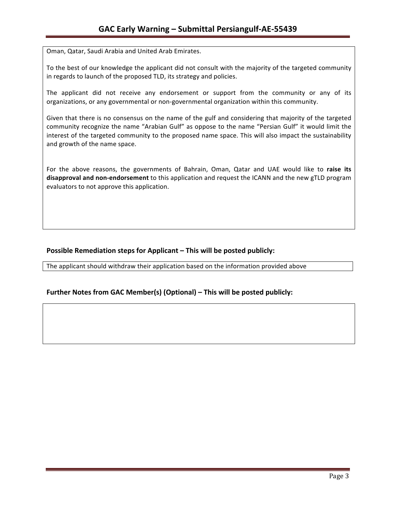Oman, Qatar, Saudi Arabia and United Arab Emirates.

To the best of our knowledge the applicant did not consult with the majority of the targeted community in regards to launch of the proposed TLD, its strategy and policies.

The applicant did not receive any endorsement or support from the community or any of its organizations, or any governmental or non-governmental organization within this community.

Given that there is no consensus on the name of the gulf and considering that majority of the targeted community recognize the name "Arabian Gulf" as oppose to the name "Persian Gulf" it would limit the interest of the targeted community to the proposed name space. This will also impact the sustainability and growth of the name space.

For the above reasons, the governments of Bahrain, Oman, Qatar and UAE would like to raise its disapproval and non-endorsement to this application and request the ICANN and the new gTLD program evaluators to not approve this application.

## **Possible Remediation steps for Applicant – This will be posted publicly:**

The applicant should withdraw their application based on the information provided above

## **Further Notes from GAC Member(s) (Optional) – This will be posted publicly:**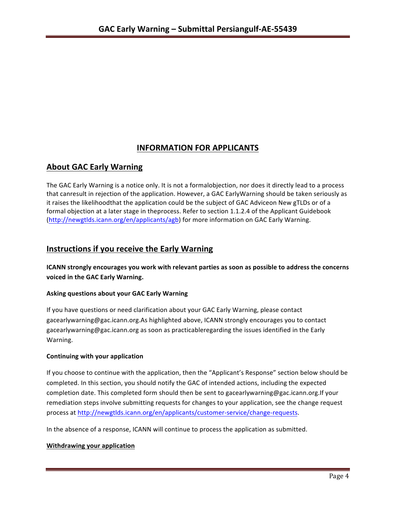# **INFORMATION FOR APPLICANTS**

# **About GAC Early Warning**

The GAC Early Warning is a notice only. It is not a formalobjection, nor does it directly lead to a process that canresult in rejection of the application. However, a GAC EarlyWarning should be taken seriously as it raises the likelihoodthat the application could be the subject of GAC Adviceon New gTLDs or of a formal objection at a later stage in theprocess. Refer to section 1.1.2.4 of the Applicant Guidebook (http://newgtlds.icann.org/en/applicants/agb) for more information on GAC Early Warning.

# **Instructions if you receive the Early Warning**

**ICANN** strongly encourages you work with relevant parties as soon as possible to address the concerns **voiced in the GAC Early Warning.** 

### **Asking questions about your GAC Early Warning**

If you have questions or need clarification about your GAC Early Warning, please contact gacearlywarning@gac.icann.org.As highlighted above, ICANN strongly encourages you to contact gacearlywarning@gac.icann.org as soon as practicableregarding the issues identified in the Early Warning. 

### **Continuing with your application**

If you choose to continue with the application, then the "Applicant's Response" section below should be completed. In this section, you should notify the GAC of intended actions, including the expected completion date. This completed form should then be sent to gacearlywarning@gac.icann.org.If your remediation steps involve submitting requests for changes to your application, see the change request process at http://newgtlds.icann.org/en/applicants/customer-service/change-requests.

In the absence of a response, ICANN will continue to process the application as submitted.

### **Withdrawing your application**